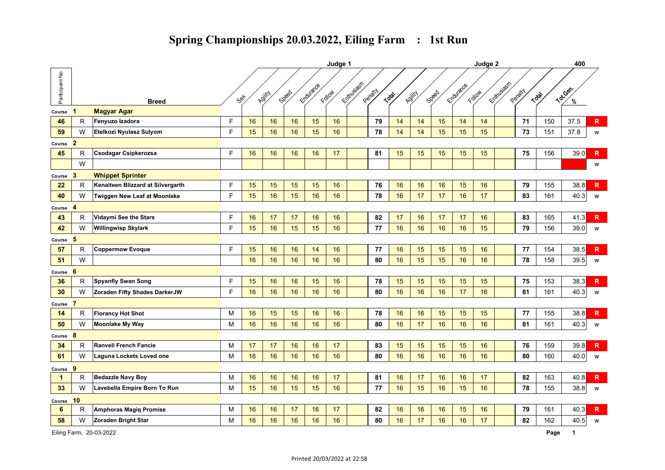|                 |                         |                                     |   |        |        |       |           | Judge 1 |            |         |       |        |       |           | Judge 2 |            |         |       | 400      |                         |
|-----------------|-------------------------|-------------------------------------|---|--------|--------|-------|-----------|---------|------------|---------|-------|--------|-------|-----------|---------|------------|---------|-------|----------|-------------------------|
| Participant No. |                         | <b>Breed</b>                        |   | $s$ st | Adjity | Speed | Endurance | Follow  | Entrysjæst | Peratty | Total | Adjity | Speed | Endurance | Follow  | Entrusiasm | Penatty | Total | Tot.Gen. |                         |
| Course          |                         | <b>Magyar Agar</b>                  |   |        |        |       |           |         |            |         |       |        |       |           |         |            |         |       |          |                         |
| 46              | $\mathsf{R}$            | Fenyuzo Izadora                     | F | 16     | 16     | 16    | 15        | 16      |            | 79      | 14    | 14     | 15    | 14        | 14      |            | 71      | 150   | 37.5     | $\mathsf{R}$            |
| 59              | W                       | Etelkozi Nyulasz Sulyom             | F | 15     | 16     | 16    | 15        | 16      |            | 78      | 14    | 14     | 15    | 15        | 15      |            | 73      | 151   | 37.8     | W                       |
| Course 2        |                         |                                     |   |        |        |       |           |         |            |         |       |        |       |           |         |            |         |       |          |                         |
| 45              | R                       | <b>Csodagar Csipkerozsa</b>         | F | 16     | 16     | 16    | 16        | 17      |            | 81      | 15    | 15     | 15    | 15        | 15      |            | 75      | 156   | 39.0     | $\overline{\mathsf{R}}$ |
|                 | W                       |                                     |   |        |        |       |           |         |            |         |       |        |       |           |         |            |         |       |          | W                       |
| Course          | $\overline{3}$          | <b>Whippet Sprinter</b>             |   |        |        |       |           |         |            |         |       |        |       |           |         |            |         |       |          |                         |
| 22              | R                       | Kenaiteen Blizzard at Silvergarth   | F | 15     | 15     | 15    | 15        | 16      |            | 76      | 16    | 16     | 16    | 15        | 16      |            | 79      | 155   | 38.8     | $\mathsf R$             |
| 40              | W                       | <b>Twiggen New Leaf at Moonlake</b> | F | 15     | 16     | 15    | 16        | 16      |            | 78      | 16    | 17     | 17    | 16        | 17      |            | 83      | 161   | 40.3     | W                       |
| Course          | $\overline{\mathbf{4}}$ |                                     |   |        |        |       |           |         |            |         |       |        |       |           |         |            |         |       |          |                         |
| 43              | $\mathsf{R}$            | Vidaymi See the Stars               | F | 16     | 17     | 17    | 16        | 16      |            | 82      | 17    | 16     | 17    | 17        | 16      |            | 83      | 165   | 41.3     | $\mathbb{R}$            |
| 42              | W                       | <b>Willingwisp Skylark</b>          | F | 15     | 16     | 15    | 15        | 16      |            | 77      | 16    | 16     | 16    | 16        | 15      |            | 79      | 156   | 39.0     | W                       |
| Course          | $5\phantom{.0}$         |                                     |   |        |        |       |           |         |            |         |       |        |       |           |         |            |         |       |          |                         |
| 57              | R                       | <b>Coppermow Evoque</b>             | F | 15     | 16     | 16    | 14        | 16      |            | 77      | 16    | 15     | 15    | 15        | 16      |            | 77      | 154   | 38.5     | $\mathsf{R}$            |
| 51              | W                       |                                     |   | 16     | 16     | 16    | 16        | 16      |            | 80      | 16    | 15     | 15    | 16        | 16      |            | 78      | 158   | 39.5     | W                       |
| Course          | 6                       |                                     |   |        |        |       |           |         |            |         |       |        |       |           |         |            |         |       |          |                         |
| 36              | R                       | <b>Spyanfly Swan Song</b>           | F | 15     | 16     | 16    | 15        | 16      |            | 78      | 15    | 15     | 15    | 15        | 15      |            | 75      | 153   | 38.3     | $\mathsf{R}$            |
| 30              | W                       | Zoraden Fifty Shades DarkerJW       | F | 16     | 16     | 16    | 16        | 16      |            | 80      | 16    | 16     | 16    | 17        | 16      |            | 81      | 161   | 40.3     | W                       |
| Course          | 7                       |                                     |   |        |        |       |           |         |            |         |       |        |       |           |         |            |         |       |          |                         |
| 14              | R                       | <b>Florancy Hot Shot</b>            | M | 16     | 15     | 15    | 16        | 16      |            | 78      | 16    | 16     | 15    | 15        | 15      |            | 77      | 155   | 38.8     | $\mathsf{R}$            |
| 50              | W                       | <b>Moonlake My Way</b>              | M | 16     | 16     | 16    | 16        | 16      |            | 80      | 16    | 17     | 16    | 16        | 16      |            | 81      | 161   | 40.3     | W                       |
| Course          | 8                       |                                     |   |        |        |       |           |         |            |         |       |        |       |           |         |            |         |       |          |                         |
| 34              | R                       | Ranveli French Fancie               | м | 17     | 17     | 16    | 16        | 17      |            | 83      | 15    | 15     | 15    | 15        | 16      |            | 76      | 159   | 39.8     | $\mathsf{R}$            |
| 61              | W                       | Laguna Lockets Loved one            | M | 16     | 16     | 16    | 16        | 16      |            | 80      | 16    | 16     | 16    | 16        | 16      |            | 80      | 160   | 40.0     | W                       |
| Course          | 9                       |                                     |   |        |        |       |           |         |            |         |       |        |       |           |         |            |         |       |          |                         |
| $\mathbf 1$     | R                       | <b>Bedazzle Navy Boy</b>            | M | 16     | 16     | 16    | 16        | 17      |            | 81      | 16    | 17     | 16    | 16        | 17      |            | 82      | 163   | 40.8     | $\mathbb{R}$            |
| 33              | W                       | Lavebella Empire Born To Run        | М | 15     | 16     | 15    | 15        | 16      |            | 77      | 16    | 15     | 16    | 15        | 16      |            | 78      | 155   | 38.8     | W                       |
| Course          | 10                      |                                     |   |        |        |       |           |         |            |         |       |        |       |           |         |            |         |       |          |                         |
| 6               | $\mathsf{R}$            | Amphoras Magiq Promise              | M | 16     | 16     | 17    | 16        | 17      |            | 82      | 16    | 16     | 16    | 15        | 16      |            | 79      | 161   | 40.3     | $\mathsf{R}$            |
| 58              | W                       | Zoraden Bright Star                 | M | 16     | 16     | 16    | 16        | 16      |            | 80      | 16    | 17     | 16    | 16        | 17      |            | 82      | 162   | 40.5     | W                       |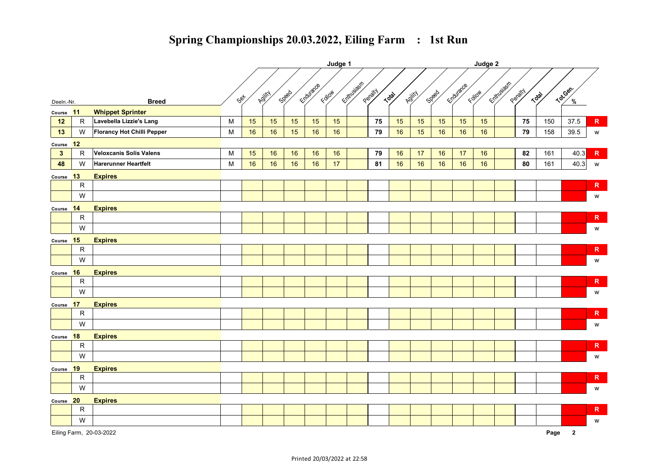|                |              |                                   |           |      | Judge 1 |       |           |        |             |         |       |        |       | Judge 2   |        |              |         |       |               |               |  |
|----------------|--------------|-----------------------------------|-----------|------|---------|-------|-----------|--------|-------------|---------|-------|--------|-------|-----------|--------|--------------|---------|-------|---------------|---------------|--|
|                |              |                                   |           | set/ | Adjitch | Speed | Endurance | Follow | Entrypeople | Penatty | Total | Adjity | Speed | Endurance | Follow | Entitlusiash | Penatty | Total | Totican.      |               |  |
| Deeln.-Nr.     |              | <b>Breed</b>                      |           |      |         |       |           |        |             |         |       |        |       |           |        |              |         |       | $\frac{9}{6}$ |               |  |
| Course         | 11           | <b>Whippet Sprinter</b>           |           |      |         |       |           |        |             |         |       |        |       |           |        |              |         |       |               |               |  |
| 12             | ${\sf R}$    | Lavebella Lizzie's Lang           | M         | 15   | 15      | 15    | 15        | 15     |             | 75      | 15    | 15     | 15    | 15        | 15     |              | 75      | 150   | 37.5          | $\mathsf R$   |  |
| 13             | W            | <b>Florancy Hot Chilli Pepper</b> | ${\sf M}$ | 16   | 16      | 15    | 16        | 16     |             | 79      | 16    | 15     | 16    | 16        | 16     |              | 79      | 158   | 39.5          | ${\mathsf W}$ |  |
| Course         | 12           |                                   |           |      |         |       |           |        |             |         |       |        |       |           |        |              |         |       |               |               |  |
| $\overline{3}$ | $\mathsf{R}$ | Veloxcanis Solis Valens           | M         | 15   | 16      | 16    | 16        | 16     |             | 79      | 16    | 17     | 16    | 17        | 16     |              | 82      | 161   | 40.3          | ${\mathbf R}$ |  |
| 48             | W            | <b>Harerunner Heartfelt</b>       | M         | 16   | 16      | 16    | 16        | 17     |             | 81      | 16    | 16     | 16    | 16        | 16     |              | 80      | 161   | 40.3          | W             |  |
| Course 13      |              | <b>Expires</b>                    |           |      |         |       |           |        |             |         |       |        |       |           |        |              |         |       |               |               |  |
|                | $\mathsf{R}$ |                                   |           |      |         |       |           |        |             |         |       |        |       |           |        |              |         |       |               | $\mathsf{R}$  |  |
|                | W            |                                   |           |      |         |       |           |        |             |         |       |        |       |           |        |              |         |       |               | W             |  |
| Course 14      |              | <b>Expires</b>                    |           |      |         |       |           |        |             |         |       |        |       |           |        |              |         |       |               |               |  |
|                | ${\sf R}$    |                                   |           |      |         |       |           |        |             |         |       |        |       |           |        |              |         |       |               | $\mathsf R$   |  |
|                | W            |                                   |           |      |         |       |           |        |             |         |       |        |       |           |        |              |         |       |               | W             |  |
| Course         | 15           | <b>Expires</b>                    |           |      |         |       |           |        |             |         |       |        |       |           |        |              |         |       |               |               |  |
|                | ${\sf R}$    |                                   |           |      |         |       |           |        |             |         |       |        |       |           |        |              |         |       |               | $\mathsf R$   |  |
|                | W            |                                   |           |      |         |       |           |        |             |         |       |        |       |           |        |              |         |       |               | W             |  |
| Course         | <b>16</b>    | <b>Expires</b>                    |           |      |         |       |           |        |             |         |       |        |       |           |        |              |         |       |               |               |  |
|                | $\mathsf R$  |                                   |           |      |         |       |           |        |             |         |       |        |       |           |        |              |         |       |               | $\mathsf{R}$  |  |
|                | W            |                                   |           |      |         |       |           |        |             |         |       |        |       |           |        |              |         |       |               | W             |  |
| Course 17      |              | <b>Expires</b>                    |           |      |         |       |           |        |             |         |       |        |       |           |        |              |         |       |               |               |  |
|                | ${\sf R}$    |                                   |           |      |         |       |           |        |             |         |       |        |       |           |        |              |         |       |               | $\mathsf{R}$  |  |
|                | W            |                                   |           |      |         |       |           |        |             |         |       |        |       |           |        |              |         |       |               | W             |  |
| Course 18      |              | <b>Expires</b>                    |           |      |         |       |           |        |             |         |       |        |       |           |        |              |         |       |               |               |  |
|                | ${\sf R}$    |                                   |           |      |         |       |           |        |             |         |       |        |       |           |        |              |         |       |               | $\mathsf R$   |  |
|                | W            |                                   |           |      |         |       |           |        |             |         |       |        |       |           |        |              |         |       |               | W             |  |
| Course 19      |              | <b>Expires</b>                    |           |      |         |       |           |        |             |         |       |        |       |           |        |              |         |       |               |               |  |
|                | ${\sf R}$    |                                   |           |      |         |       |           |        |             |         |       |        |       |           |        |              |         |       |               | $\mathsf R$   |  |
|                | W            |                                   |           |      |         |       |           |        |             |         |       |        |       |           |        |              |         |       |               | W             |  |
| Course 20      |              | <b>Expires</b>                    |           |      |         |       |           |        |             |         |       |        |       |           |        |              |         |       |               |               |  |
|                | ${\sf R}$    |                                   |           |      |         |       |           |        |             |         |       |        |       |           |        |              |         |       |               | $\mathsf R$   |  |
|                | W            |                                   |           |      |         |       |           |        |             |         |       |        |       |           |        |              |         |       |               | W             |  |
|                |              |                                   |           |      |         |       |           |        |             |         |       |        |       |           |        |              |         |       |               |               |  |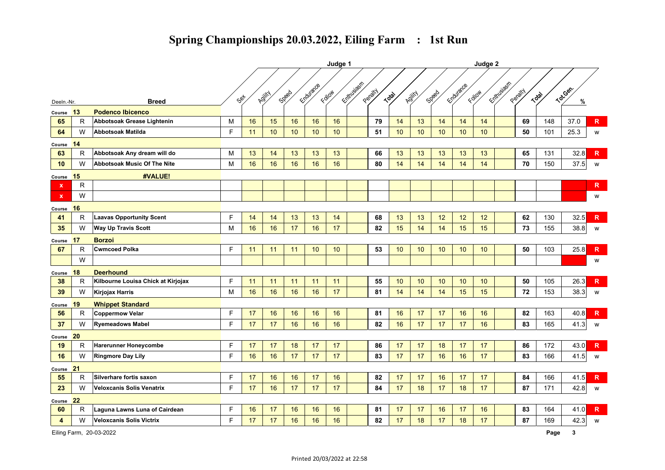|                         |              |                                    |             |      | Judge 1 |       |           |        |              |         |       |                 |       | Judge 2   |        |            |         |       |          |              |  |  |
|-------------------------|--------------|------------------------------------|-------------|------|---------|-------|-----------|--------|--------------|---------|-------|-----------------|-------|-----------|--------|------------|---------|-------|----------|--------------|--|--|
|                         |              |                                    |             | Set. | Agjity  | Speed | Endurance | Follow | Entitlisiash | Penatty | Total | Adjitch         | Speed | Endurance | Follow | Entrusiasm | Penatty | Total | Tot.Gen. |              |  |  |
| Deeln.-Nr.              |              | <b>Breed</b>                       |             |      |         |       |           |        |              |         |       |                 |       |           |        |            |         |       | %        |              |  |  |
| Course                  | 13           | <b>Podenco Ibicenco</b>            |             |      |         |       |           |        |              |         |       |                 |       |           |        |            |         |       |          |              |  |  |
| 65                      | $\mathsf{R}$ | Abbotsoak Grease Lightenin         | M           | 16   | 15      | 16    | 16        | 16     |              | 79      | 14    | 13              | 14    | 14        | 14     |            | 69      | 148   | 37.0     | $\mathsf{R}$ |  |  |
| 64                      | W            | Abbotsoak Matilda                  | F           | 11   | 10      | 10    | 10        | 10     |              | 51      | 10    | 10              | 10    | 10        | 10     |            | 50      | 101   | 25.3     | W            |  |  |
| Course                  | 14           |                                    |             |      |         |       |           |        |              |         |       |                 |       |           |        |            |         |       |          |              |  |  |
| 63                      | R            | Abbotsoak Any dream will do        | M           | 13   | 14      | 13    | 13        | 13     |              | 66      | 13    | 13              | 13    | 13        | 13     |            | 65      | 131   | 32.8     | $\mathbb{R}$ |  |  |
| 10                      | W            | <b>Abbotsoak Music Of The Nite</b> | M           | 16   | 16      | 16    | 16        | 16     |              | 80      | 14    | 14              | 14    | 14        | 14     |            | 70      | 150   | 37.5     | W            |  |  |
| Course                  | <b>15</b>    | #VALUE!                            |             |      |         |       |           |        |              |         |       |                 |       |           |        |            |         |       |          |              |  |  |
| x                       | $\mathsf{R}$ |                                    |             |      |         |       |           |        |              |         |       |                 |       |           |        |            |         |       |          | $\mathsf{R}$ |  |  |
| $\mathbf x$             | W            |                                    |             |      |         |       |           |        |              |         |       |                 |       |           |        |            |         |       |          | W            |  |  |
| Course                  | 16           |                                    |             |      |         |       |           |        |              |         |       |                 |       |           |        |            |         |       |          |              |  |  |
| 41                      | $\mathsf{R}$ | <b>Laavas Opportunity Scent</b>    | F           | 14   | 14      | 13    | 13        | 14     |              | 68      | 13    | 13              | 12    | 12        | 12     |            | 62      | 130   | 32.5     | $\mathsf{R}$ |  |  |
| 35                      | W            | <b>Way Up Travis Scott</b>         | M           | 16   | 16      | 17    | 16        | 17     |              | 82      | 15    | 14              | 14    | 15        | 15     |            | 73      | 155   | 38.8     | W            |  |  |
| Course                  | 17           | <b>Borzoi</b>                      |             |      |         |       |           |        |              |         |       |                 |       |           |        |            |         |       |          |              |  |  |
| 67                      | $\mathsf{R}$ | <b>Cwmcoed Polka</b>               | F           | 11   | 11      | 11    | 10        | 10     |              | 53      | 10    | 10 <sup>1</sup> | 10    | 10        | 10     |            | 50      | 103   | 25.8     | $\mathsf{R}$ |  |  |
|                         | W            |                                    |             |      |         |       |           |        |              |         |       |                 |       |           |        |            |         |       |          | W            |  |  |
| Course                  | 18           | <b>Deerhound</b>                   |             |      |         |       |           |        |              |         |       |                 |       |           |        |            |         |       |          |              |  |  |
| 38                      | $\mathsf{R}$ | Kilbourne Louisa Chick at Kirjojax | F           | 11   | 11      | 11    | 11        | 11     |              | 55      | 10    | 10              | 10    | 10        | 10     |            | 50      | 105   | 26.3     | $\mathsf{R}$ |  |  |
| 39                      | W            | <b>Kirjojax Harris</b>             | M           | 16   | 16      | 16    | 16        | 17     |              | 81      | 14    | 14              | 14    | 15        | 15     |            | 72      | 153   | 38.3     | W            |  |  |
| Course                  | 19           | <b>Whippet Standard</b>            |             |      |         |       |           |        |              |         |       |                 |       |           |        |            |         |       |          |              |  |  |
| 56                      | R            | <b>Coppermow Velar</b>             | E           | 17   | 16      | 16    | 16        | 16     |              | 81      | 16    | 17              | 17    | 16        | 16     |            | 82      | 163   | 40.8     | $\mathbb{R}$ |  |  |
| 37                      | W            | <b>Ryemeadows Mabel</b>            | F           | 17   | 17      | 16    | 16        | 16     |              | 82      | 16    | 17              | 17    | 17        | 16     |            | 83      | 165   | 41.3     | W            |  |  |
| Course                  | 20           |                                    |             |      |         |       |           |        |              |         |       |                 |       |           |        |            |         |       |          |              |  |  |
| 19                      | R            | <b>Harerunner Honeycombe</b>       | F           | 17   | 17      | 18    | 17        | 17     |              | 86      | 17    | 17              | 18    | 17        | 17     |            | 86      | 172   | 43.0     | $\mathbb{R}$ |  |  |
| 16                      | W            | <b>Ringmore Day Lily</b>           | F           | 16   | 16      | 17    | 17        | 17     |              | 83      | 17    | 17              | 16    | 16        | 17     |            | 83      | 166   | 41.5     | W            |  |  |
| Course                  | 21           |                                    |             |      |         |       |           |        |              |         |       |                 |       |           |        |            |         |       |          |              |  |  |
| 55                      | $\mathsf{R}$ | Silverhare fortis saxon            | $\mathsf F$ | 17   | 16      | 16    | 17        | 16     |              | 82      | 17    | 17              | 16    | 17        | 17     |            | 84      | 166   | 41.5     | $\mathbb{R}$ |  |  |
| 23                      | W            | <b>Veloxcanis Solis Venatrix</b>   | F           | 17   | 16      | 17    | 17        | 17     |              | 84      | 17    | 18              | 17    | 18        | 17     |            | 87      | 171   | 42.8     | W            |  |  |
| Course                  | 22           |                                    |             |      |         |       |           |        |              |         |       |                 |       |           |        |            |         |       |          |              |  |  |
| 60                      | $\mathsf{R}$ | Laguna Lawns Luna of Cairdean      | F           | 16   | 17      | 16    | 16        | 16     |              | 81      | 17    | 17              | 16    | 17        | 16     |            | 83      | 164   | 41.0     | $\mathsf{R}$ |  |  |
| $\overline{\mathbf{4}}$ | W            | <b>Veloxcanis Solis Victrix</b>    | F           | 17   | 17      | 16    | 16        | 16     |              | 82      | 17    | 18              | 17    | 18        | 17     |            | 87      | 169   | 42.3     | W            |  |  |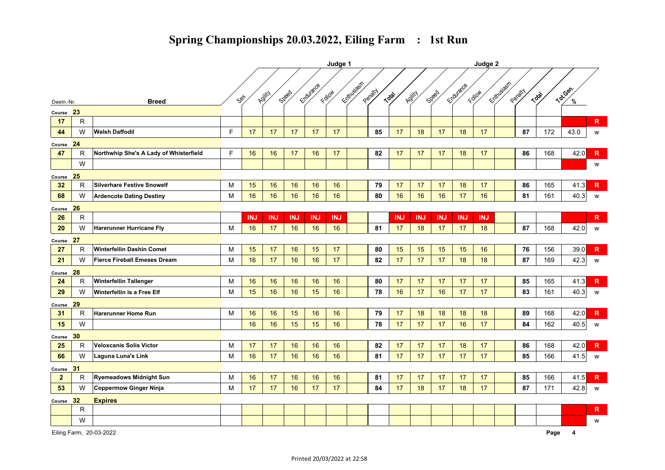|              |              |                                        |             | Judge 1    |            |            |            |            |             |         |            |            |            |            |            |             |         |       |          |              |
|--------------|--------------|----------------------------------------|-------------|------------|------------|------------|------------|------------|-------------|---------|------------|------------|------------|------------|------------|-------------|---------|-------|----------|--------------|
|              |              |                                        |             | Set        | Adjity     | Speed      | Endurance  | Follow     | Entrypident | Penatty | Total      | Adjitch    | Speed      | Endurance  | Follow     | Exittusiasm | Penatty | Total | Tot.Gen. |              |
| Deeln.-Nr.   |              | <b>Breed</b>                           |             |            |            |            |            |            |             |         |            |            |            |            |            |             |         |       |          |              |
| Course       | 23           |                                        |             |            |            |            |            |            |             |         |            |            |            |            |            |             |         |       |          |              |
| 17           | $\mathsf{R}$ |                                        |             |            |            |            |            |            |             |         |            |            |            |            |            |             |         |       |          | $\mathsf{R}$ |
| 44           | W            | <b>Welsh Daffodil</b>                  | $\mathsf F$ | 17         | 17         | 17         | 17         | 17         |             | 85      | 17         | 18         | 17         | 18         | 17         |             | 87      | 172   | 43.0     | W            |
| Course 24    |              |                                        |             |            |            |            |            |            |             |         |            |            |            |            |            |             |         |       |          |              |
| 47           | $\mathsf{R}$ | Northwhip She's A Lady of Whisterfield | F           | 16         | 16         | 17         | 16         | 17         |             | 82      | 17         | 17         | 17         | 18         | 17         |             | 86      | 168   | 42.0     | $\mathsf{R}$ |
|              | W            |                                        |             |            |            |            |            |            |             |         |            |            |            |            |            |             |         |       |          | W            |
| Course       | 25           |                                        |             |            |            |            |            |            |             |         |            |            |            |            |            |             |         |       |          |              |
| 32           | $\mathsf{R}$ | <b>Silverhare Festive Snowelf</b>      | M           | 15         | 16         | 16         | 16         | 16         |             | 79      | 17         | 17         | 17         | 18         | 17         |             | 86      | 165   | 41.3     | $\mathsf{R}$ |
| 68           | W            | <b>Ardencote Dating Destiny</b>        | M           | 16         | 16         | 16         | 16         | 16         |             | 80      | 16         | 16         | 16         | 17         | 16         |             | 81      | 161   | 40.3     | W            |
| Course       | 26           |                                        |             |            |            |            |            |            |             |         |            |            |            |            |            |             |         |       |          |              |
| 26           | $\mathsf R$  |                                        |             | <b>INJ</b> | <b>INJ</b> | <b>INJ</b> | <b>INJ</b> | <b>INJ</b> |             |         | <b>INJ</b> | <b>INJ</b> | <b>INJ</b> | <b>INJ</b> | <b>INJ</b> |             |         |       |          | R            |
| 20           | W            | <b>Harerunner Hurricane Fly</b>        | M           | 16         | 17         | 16         | 16         | 16         |             | 81      | 17         | 18         | 17         | 17         | 18         |             | 87      | 168   | 42.0     | W            |
| Course 27    |              |                                        |             |            |            |            |            |            |             |         |            |            |            |            |            |             |         |       |          |              |
| 27           | R            | Winterfellin Dashin Comet              | M           | 15         | 17         | 16         | 15         | 17         |             | 80      | 15         | 15         | 15         | 15         | 16         |             | 76      | 156   | 39.0     | $\mathsf{R}$ |
| 21           | W            | <b>Fierce Fireball Emeses Dream</b>    | M           | 16         | 17         | 16         | 16         | 17         |             | 82      | 17         | 17         | 17         | 18         | 18         |             | 87      | 169   | 42.3     | W            |
| Course       | 28           |                                        |             |            |            |            |            |            |             |         |            |            |            |            |            |             |         |       |          |              |
| 24           | $\mathsf{R}$ | <b>Winterfellin Tallenger</b>          | M           | 16         | 16         | 16         | 16         | 16         |             | 80      | 17         | 17         | 17         | 17         | 17         |             | 85      | 165   | 41.3     | $\mathsf{R}$ |
| 29           | W            | Winterfellin is a Free Elf             | M           | 15         | 16         | 16         | 15         | 16         |             | 78      | 16         | 17         | 16         | 17         | 17         |             | 83      | 161   | 40.3     | W            |
| Course       | 29           |                                        |             |            |            |            |            |            |             |         |            |            |            |            |            |             |         |       |          |              |
| 31           | $\mathsf{R}$ | <b>Harerunner Home Run</b>             | M           | 16         | 16         | 15         | 16         | 16         |             | 79      | 17         | 18         | 18         | 18         | 18         |             | 89      | 168   | 42.0     | $\mathbb{R}$ |
| 15           | W            |                                        |             | 16         | 16         | 15         | 15         | 16         |             | 78      | 17         | 17         | 17         | 16         | 17         |             | 84      | 162   | 40.5     | W            |
| Course       | 30           |                                        |             |            |            |            |            |            |             |         |            |            |            |            |            |             |         |       |          |              |
| 25           | $\mathsf{R}$ | <b>Veloxcanis Solis Victor</b>         | м           | 17         | 17         | 16         | 16         | 16         |             | 82      | 17         | 17         | 17         | 18         | 17         |             | 86      | 168   | 42.0     | $\mathsf{R}$ |
| 66           | W            | <b>Laguna Luna's Link</b>              | M           | 16         | 17         | 16         | 16         | 16         |             | 81      | 17         | 17         | 17         | 17         | 17         |             | 85      | 166   | 41.5     | W            |
| Course       | 31           |                                        |             |            |            |            |            |            |             |         |            |            |            |            |            |             |         |       |          |              |
| $\mathbf{2}$ | $\mathsf R$  | <b>Ryemeadows Midnight Sun</b>         | M           | 16         | 17         | 16         | 16         | 16         |             | 81      | 17         | 17         | 17         | 17         | 17         |             | 85      | 166   | 41.5     | $\mathbb{R}$ |
| 53           | W            | Coppermow Ginger Ninja                 | M           | 17         | 17         | 16         | 17         | 17         |             | 84      | 17         | 18         | 17         | 18         | 17         |             | 87      | 171   | 42.8     | W            |
| Course       | 32           | <b>Expires</b>                         |             |            |            |            |            |            |             |         |            |            |            |            |            |             |         |       |          |              |
|              | $\mathsf{R}$ |                                        |             |            |            |            |            |            |             |         |            |            |            |            |            |             |         |       |          | R            |
|              | W            |                                        |             |            |            |            |            |            |             |         |            |            |            |            |            |             |         |       |          | W            |
|              |              |                                        |             |            |            |            |            |            |             |         |            |            |            |            |            |             |         |       |          |              |